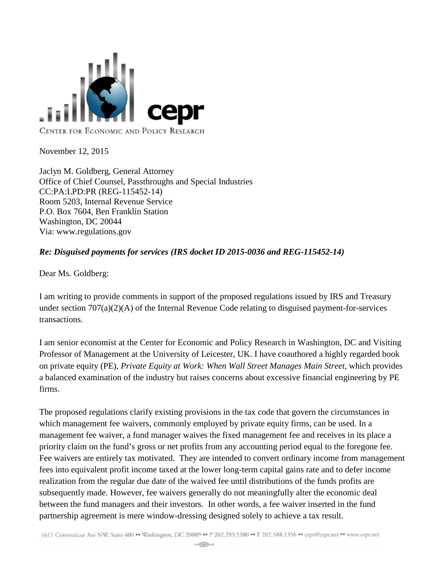

November 12, 2015

Jaclyn M. Goldberg, General Attorney Office of Chief Counsel, Passthroughs and Special Industries CC:PA:LPD:PR (REG-115452-14) Room 5203, Internal Revenue Service P.O. Box 7604, Ben Franklin Station Washington, DC 20044 Via: www.regulations.gov

## *Re: Disguised payments for services (IRS docket ID 2015-0036 and REG-115452-14)*

Dear Ms. Goldberg:

I am writing to provide comments in support of the proposed regulations issued by IRS and Treasury under section 707(a)(2)(A) of the Internal Revenue Code relating to disguised payment-for-services transactions.

I am senior economist at the Center for Economic and Policy Research in Washington, DC and Visiting Professor of Management at the University of Leicester, UK. I have coauthored a highly regarded book on private equity (PE), *Private Equity at Work: When Wall Street Manages Main Street*, which provides a balanced examination of the industry but raises concerns about excessive financial engineering by PE firms.

The proposed regulations clarify existing provisions in the tax code that govern the circumstances in which management fee waivers, commonly employed by private equity firms, can be used. In a management fee waiver, a fund manager waives the fixed management fee and receives in its place a priority claim on the fund's gross or net profits from any accounting period equal to the foregone fee. Fee waivers are entirely tax motivated. They are intended to convert ordinary income from management fees into equivalent profit income taxed at the lower long-term capital gains rate and to defer income realization from the regular due date of the waived fee until distributions of the funds profits are subsequently made. However, fee waivers generally do not meaningfully alter the economic deal between the fund managers and their investors. In other words, a fee waiver inserted in the fund partnership agreement is mere window-dressing designed solely to achieve a tax result.